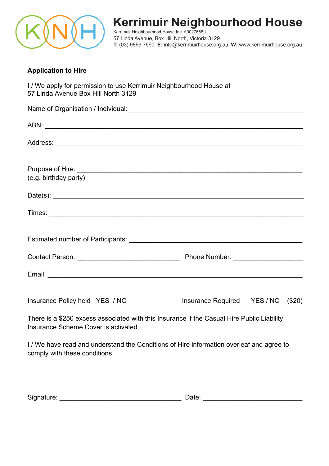

# Kerrimuir Neighbourhood House

Kerrimuir Neighbourhood House Inc. A0027658U 57 Linda Avenue, Box Hill North, Victoria 3129 T: (03) 9899 7660 E: info@kerrimuirhouse.org.au W: www.kerrimuirhouse.org.au

# **Application to Hire**

I / We apply for permission to use Kerrimuir Neighbourhood House at 57 Linda Avenue Box Hill North 3129

| (e.g. birthday party)                                                                      |                                    |  |
|--------------------------------------------------------------------------------------------|------------------------------------|--|
|                                                                                            |                                    |  |
|                                                                                            |                                    |  |
|                                                                                            |                                    |  |
|                                                                                            |                                    |  |
|                                                                                            |                                    |  |
| Insurance Policy held YES / NO                                                             | Insurance Required YES / NO (\$20) |  |
| There is a \$250 excess associated with this Insurance if the Casual Hire Public Liability |                                    |  |

Insurance Scheme Cover is activated.

I / We have read and understand the Conditions of Hire information overleaf and agree to comply with these conditions.

| Signature:<br>Jate |  |
|--------------------|--|
|--------------------|--|